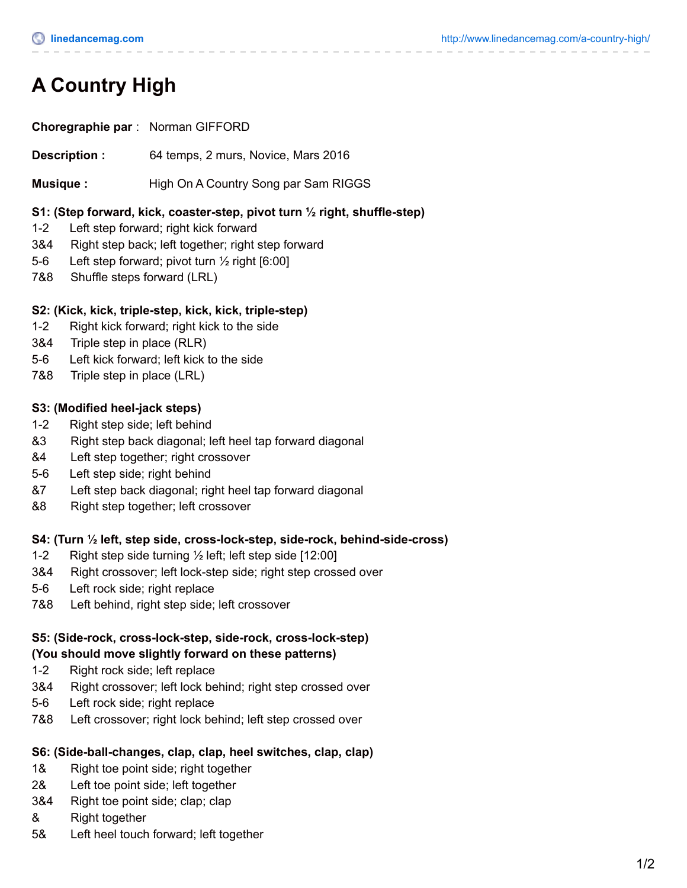# **A Country High**

**Choregraphie par** : Norman GIFFORD

**Description :** 64 temps, 2 murs, Novice, Mars 2016

**Musique :** High On A Country Song par Sam RIGGS

#### **S1: (Step forward, kick, coaster-step, pivot turn ½ right, shuffle-step)**

- 1-2 Left step forward; right kick forward
- 3&4 Right step back; left together; right step forward
- 5-6 Left step forward; pivot turn ½ right [6:00]
- 7&8 Shuffle steps forward (LRL)

#### **S2: (Kick, kick, triple-step, kick, kick, triple-step)**

- 1-2 Right kick forward; right kick to the side
- 3&4 Triple step in place (RLR)
- 5-6 Left kick forward; left kick to the side
- 7&8 Triple step in place (LRL)

#### **S3: (Modified heel-jack steps)**

- 1-2 Right step side; left behind
- &3 Right step back diagonal; left heel tap forward diagonal
- &4 Left step together; right crossover
- 5-6 Left step side; right behind
- &7 Left step back diagonal; right heel tap forward diagonal
- &8 Right step together; left crossover

#### **S4: (Turn ½ left, step side, cross-lock-step, side-rock, behind-side-cross)**

- 1-2 Right step side turning ½ left; left step side [12:00]
- 3&4 Right crossover; left lock-step side; right step crossed over
- 5-6 Left rock side; right replace
- 7&8 Left behind, right step side; left crossover

#### **S5: (Side-rock, cross-lock-step, side-rock, cross-lock-step)**

#### **(You should move slightly forward on these patterns)**

- 1-2 Right rock side; left replace
- 3&4 Right crossover; left lock behind; right step crossed over
- 5-6 Left rock side; right replace
- 7&8 Left crossover; right lock behind; left step crossed over

#### **S6: (Side-ball-changes, clap, clap, heel switches, clap, clap)**

- 1& Right toe point side; right together
- 2& Left toe point side; left together
- 3&4 Right toe point side; clap; clap
- & Right together
- 5& Left heel touch forward; left together